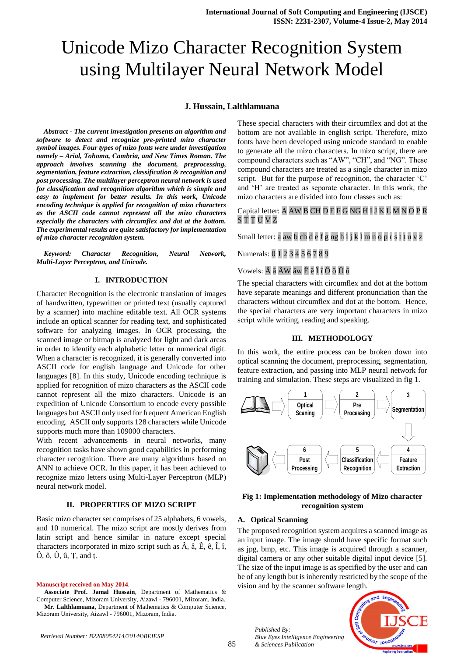# Unicode Mizo Character Recognition System using Multilayer Neural Network Model

#### **J. Hussain, Lalthlamuana**

*Abstract - The current investigation presents an algorithm and software to detect and recognize pre-printed mizo character symbol images. Four types of mizo fonts were under investigation namely – Arial, Tohoma, Cambria, and New Times Roman. The approach involves scanning the document, preprocessing, segmentation, feature extraction, classification & recognition and post processing. The multilayer perceptron neural network is used for classification and recognition algorithm which is simple and easy to implement for better results. In this work, Unicode encoding technique is applied for recognition of mizo characters as the ASCII code cannot represent all the mizo characters especially the characters with circumflex and dot at the bottom. The experimental results are quite satisfactory for implementation of mizo character recognition system.*

*Keyword: Character Recognition, Neural Network, Multi-Layer Perceptron, and Unicode.*

#### **I. INTRODUCTION**

Character Recognition is the electronic translation of images of handwritten, typewritten or printed text (usually captured by a scanner) into machine editable text. All OCR systems include an optical scanner for reading text, and sophisticated software for analyzing images. In OCR processing, the scanned image or bitmap is analyzed for light and dark areas in order to identify each alphabetic letter or numerical digit. When a character is recognized, it is generally converted into ASCII code for english language and Unicode for other languages [8]. In this study, Unicode encoding technique is applied for recognition of mizo characters as the ASCII code cannot represent all the mizo characters. Unicode is an expedition of Unicode Consortium to encode every possible languages but ASCII only used for frequent American English encoding. ASCII only supports 128 characters while Unicode supports much more than 109000 characters.

With recent advancements in neural networks, many recognition tasks have shown good capabilities in performing character recognition. There are many algorithms based on ANN to achieve OCR. In this paper, it has been achieved to recognize mizo letters using Multi-Layer Perceptron (MLP) neural network model.

#### **II. PROPERTIES OF MIZO SCRIPT**

Basic mizo character set comprises of 25 alphabets, 6 vowels, and 10 numerical. The mizo script are mostly derives from latin script and hence similar in nature except special characters incorporated in mizo script such as  $\hat{A}$ ,  $\hat{a}$ ,  $\hat{E}$ ,  $\hat{e}$ ,  $\hat{I}$ ,  $\hat{i}$ , Ô, ô, Û, û, Ṭ, and ṭ.

#### **Manuscript received on May 2014**.

**Associate Prof. Jamal Hussain**, Department of Mathematics & Computer Science, Mizoram University, Aizawl - 796001, Mizoram, India. **Mr. Lalthlamuana**, Department of Mathematics & Computer Science, Mizoram University, Aizawl - 796001, Mizoram, India.

These special characters with their circumflex and dot at the bottom are not available in english script. Therefore, mizo fonts have been developed using unicode standard to enable to generate all the mizo characters. In mizo script, there are compound characters such as "AW", "CH", and "NG". These compound characters are treated as a single character in mizo script. But for the purpose of recognition, the character 'C' and "H" are treated as separate character. In this work, the mizo characters are divided into four classes such as:

## Capital letter: A AW B CH D E F G NG H I J K L M N O P R S T Ṭ U V Z

Small letter: a aw b ch d e f g ng h i j k l m n o p r s t ṭ u v z

# Numerals: 0 1 2 3 4 5 6 7 8 9

## Vowels: Â â ÂW âw Ê ê Î î Ô ô Û û

The special characters with circumflex and dot at the bottom have separate meanings and different pronunciation than the characters without circumflex and dot at the bottom. Hence, the special characters are very important characters in mizo script while writing, reading and speaking.

#### **III. METHODOLOGY**

In this work, the entire process can be broken down into optical scanning the document, preprocessing, segmentation, feature extraction, and passing into MLP neural network for training and simulation. These steps are visualized in fig 1.



### **Fig 1: Implementation methodology of Mizo character recognition system**

#### **A. Optical Scanning**

*Published By:*

*& Sciences Publication* 

*Blue Eyes Intelligence Engineering* 

The proposed recognition system acquires a scanned image as an input image. The image should have specific format such as jpg, bmp, etc. This image is acquired through a scanner, digital camera or any other suitable digital input device [5]. The size of the input image is as specified by the user and can be of any length but is inherently restricted by the scope of the vision and by the scanner software length.

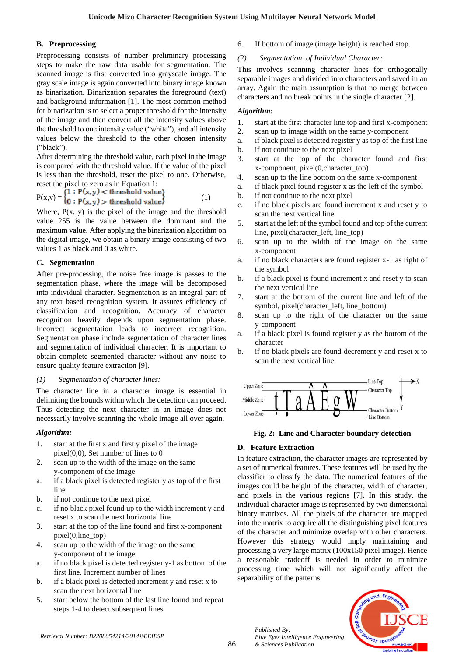# **B. Preprocessing**

Preprocessing consists of number preliminary processing steps to make the raw data usable for segmentation. The scanned image is first converted into grayscale image. The gray scale image is again converted into binary image known as binarization. Binarization separates the foreground (text) and background information [1]. The most common method for binarization is to select a proper threshold for the intensity of the image and then convert all the intensity values above the threshold to one intensity value ("white"), and all intensity values below the threshold to the other chosen intensity ("black").

After determining the threshold value, each pixel in the image is compared with the threshold value. If the value of the pixel is less than the threshold, reset the pixel to one. Otherwise,

reset the pixel to zero as in Equation 1:<br> $\Gamma$  (1 : P(x, y) < threshold value)  $=$ {0 :  $P(x,y)$  > threshold value} (1)

Where,  $P(x, y)$  is the pixel of the image and the threshold value 255 is the value between the dominant and the maximum value. After applying the binarization algorithm on the digital image, we obtain a binary image consisting of two values 1 as black and 0 as white.

# **C. Segmentation**

After pre-processing, the noise free image is passes to the segmentation phase, where the image will be decomposed into individual character. Segmentation is an integral part of any text based recognition system. It assures efficiency of classification and recognition. Accuracy of character recognition heavily depends upon segmentation phase. Incorrect segmentation leads to incorrect recognition. Segmentation phase include segmentation of character lines and segmentation of individual character. It is important to obtain complete segmented character without any noise to ensure quality feature extraction [9].

# *(1) Segmentation of character lines:*

The character line in a character image is essential in delimiting the bounds within which the detection can proceed. Thus detecting the next character in an image does not necessarily involve scanning the whole image all over again.

# *Algorithm:*

- 1. start at the first x and first y pixel of the image pixel(0,0), Set number of lines to 0
- 2. scan up to the width of the image on the same y-component of the image
- a. if a black pixel is detected register y as top of the first line
- b. if not continue to the next pixel
- c. if no black pixel found up to the width increment y and reset x to scan the next horizontal line
- 3. start at the top of the line found and first x-component pixel(0,line\_top)
- 4. scan up to the width of the image on the same y-component of the image
- a. if no black pixel is detected register y-1 as bottom of the first line. Increment number of lines
- b. if a black pixel is detected increment y and reset x to scan the next horizontal line
- 5. start below the bottom of the last line found and repeat steps 1-4 to detect subsequent lines

6. If bottom of image (image height) is reached stop.

# *(2) Segmentation of Individual Character:*

This involves scanning character lines for orthogonally separable images and divided into characters and saved in an array. Again the main assumption is that no merge between characters and no break points in the single character [2].

# *Algorithm:*

- 1. start at the first character line top and first x-component
- 2. scan up to image width on the same y-component
- a. if black pixel is detected register y as top of the first line
- b. if not continue to the next pixel
- 3. start at the top of the character found and first x-component, pixel(0,character\_top)
- 4. scan up to the line bottom on the same x-component
- a. if black pixel found register x as the left of the symbol
- b. if not continue to the next pixel
- c. if no black pixels are found increment x and reset y to scan the next vertical line
- 5. start at the left of the symbol found and top of the current line, pixel(character\_left, line\_top)
- 6. scan up to the width of the image on the same x-component
- a. if no black characters are found register x-1 as right of the symbol
- b. if a black pixel is found increment x and reset y to scan the next vertical line
- 7. start at the bottom of the current line and left of the symbol, pixel(character\_left, line\_bottom)
- 8. scan up to the right of the character on the same y-component
- a. if a black pixel is found register y as the bottom of the character
- b. if no black pixels are found decrement y and reset x to scan the next vertical line



# **Fig. 2: Line and Character boundary detection**

# **D. Feature Extraction**

In feature extraction, the character images are represented by a set of numerical features. These features will be used by the classifier to classify the data. The numerical features of the images could be height of the character, width of character, and pixels in the various regions [7]. In this study, the individual character image is represented by two dimensional binary matrixes. All the pixels of the character are mapped into the matrix to acquire all the distinguishing pixel features of the character and minimize overlap with other characters. However this strategy would imply maintaining and processing a very large matrix (100x150 pixel image). Hence a reasonable tradeoff is needed in order to minimize processing time which will not significantly affect the separability of the patterns.

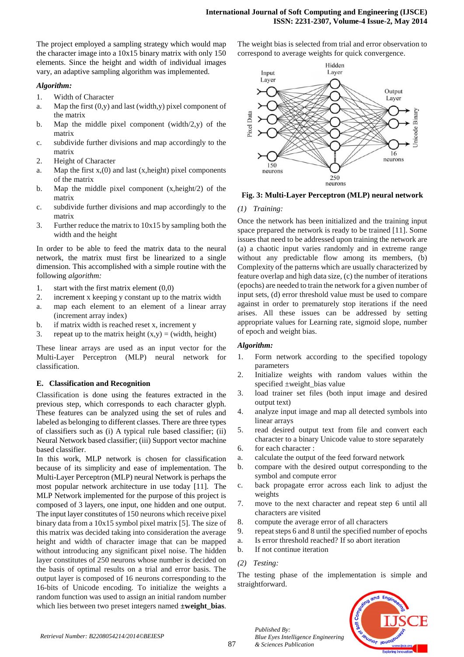The project employed a sampling strategy which would map the character image into a 10x15 binary matrix with only 150 elements. Since the height and width of individual images vary, an adaptive sampling algorithm was implemented.

#### *Algorithm:*

- 1. Width of Character
- a. Map the first  $(0, y)$  and last (width,y) pixel component of the matrix
- b. Map the middle pixel component (width/2,y) of the matrix
- c. subdivide further divisions and map accordingly to the matrix
- 2. Height of Character
- a. Map the first  $x(0)$  and last  $(x, height)$  pixel components of the matrix
- b. Map the middle pixel component (x,height/2) of the matrix
- c. subdivide further divisions and map accordingly to the matrix
- 3. Further reduce the matrix to 10x15 by sampling both the width and the height

In order to be able to feed the matrix data to the neural network, the matrix must first be linearized to a single dimension. This accomplished with a simple routine with the following *algorithm:*

- 1. start with the first matrix element (0,0)
- 2. increment x keeping y constant up to the matrix width
- a. map each element to an element of a linear array (increment array index)
- b. if matrix width is reached reset x, increment y
- 3. repeat up to the matrix height  $(x,y) = (width, height)$

These linear arrays are used as an input vector for the Multi-Layer Perceptron (MLP) neural network for classification.

## **E. Classification and Recognition**

Classification is done using the features extracted in the previous step, which corresponds to each character glyph. These features can be analyzed using the set of rules and labeled as belonging to different classes. There are three types of classifiers such as (i) A typical rule based classifier; (ii) Neural Network based classifier; (iii) Support vector machine based classifier.

In this work, MLP network is chosen for classification because of its simplicity and ease of implementation. The Multi-Layer Perceptron (MLP) neural Network is perhaps the most popular network architecture in use today [11]. The MLP Network implemented for the purpose of this project is composed of 3 layers, one input, one hidden and one output. The input layer constitutes of 150 neurons which receive pixel binary data from a 10x15 symbol pixel matrix [5]. The size of this matrix was decided taking into consideration the average height and width of character image that can be mapped without introducing any significant pixel noise. The hidden layer constitutes of 250 neurons whose number is decided on the basis of optimal results on a trial and error basis. The output layer is composed of 16 neurons corresponding to the 16-bits of Unicode encoding. To initialize the weights a random function was used to assign an initial random number which lies between two preset integers named **±weight\_bias**. The weight bias is selected from trial and error observation to correspond to average weights for quick convergence.



**Fig. 3: Multi-Layer Perceptron (MLP) neural network**

#### *(1) Training:*

Once the network has been initialized and the training input space prepared the network is ready to be trained [11]. Some issues that need to be addressed upon training the network are (a) a chaotic input varies randomly and in extreme range without any predictable flow among its members, (b) Complexity of the patterns which are usually characterized by feature overlap and high data size, (c) the number of iterations (epochs) are needed to train the network for a given number of input sets, (d) error threshold value must be used to compare against in order to prematurely stop iterations if the need arises. All these issues can be addressed by setting appropriate values for Learning rate, sigmoid slope, number of epoch and weight bias.

#### *Algorithm:*

- 1. Form network according to the specified topology parameters
- 2. Initialize weights with random values within the specified ±weight\_bias value
- 3. load trainer set files (both input image and desired output text)
- 4. analyze input image and map all detected symbols into linear arrays
- 5. read desired output text from file and convert each character to a binary Unicode value to store separately
- 6. for each character :
- a. calculate the output of the feed forward network
- b. compare with the desired output corresponding to the symbol and compute error
- c. back propagate error across each link to adjust the weights
- 7. move to the next character and repeat step 6 until all characters are visited
- 8. compute the average error of all characters
- 9. repeat steps 6 and 8 until the specified number of epochs
- a. Is error threshold reached? If so abort iteration
- b. If not continue iteration

*Published By:*

*& Sciences Publication* 

*Blue Eyes Intelligence Engineering* 

#### *(2) Testing:*

The testing phase of the implementation is simple and straightforward.

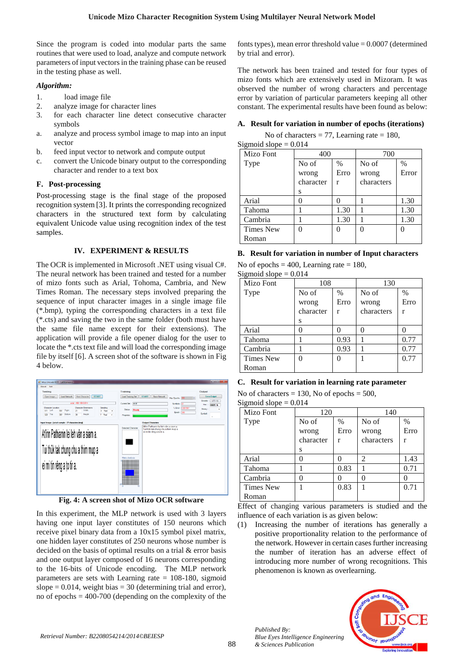Since the program is coded into modular parts the same routines that were used to load, analyze and compute network parameters of input vectors in the training phase can be reused in the testing phase as well.

## *Algorithm:*

- 1. load image file
- 2. analyze image for character lines
- 3. for each character line detect consecutive character symbols
- a. analyze and process symbol image to map into an input vector
- b. feed input vector to network and compute output
- c. convert the Unicode binary output to the corresponding character and render to a text box

# **F. Post-processing**

Post-processing stage is the final stage of the proposed recognition system [3]. It prints the corresponding recognized characters in the structured text form by calculating equivalent Unicode value using recognition index of the test samples.

## **IV. EXPERIMENT & RESULTS**

The OCR is implemented in Microsoft .NET using visual C#. The neural network has been trained and tested for a number of mizo fonts such as Arial, Tohoma, Cambria, and New Times Roman. The necessary steps involved preparing the sequence of input character images in a single image file (\*.bmp), typing the corresponding characters in a text file (\*.cts) and saving the two in the same folder (both must have the same file name except for their extensions). The application will provide a file opener dialog for the user to locate the \*.cts text file and will load the corresponding image file by itself [6]. A screen shot of the software is shown in Fig 4 below.



**Fig. 4: A screen shot of Mizo OCR software**

In this experiment, the MLP network is used with 3 layers having one input layer constitutes of 150 neurons which receive pixel binary data from a 10x15 symbol pixel matrix, one hidden layer constitutes of 250 neurons whose number is decided on the basis of optimal results on a trial & error basis and one output layer composed of 16 neurons corresponding to the 16-bits of Unicode encoding. The MLP network parameters are sets with Learning rate = 108-180, sigmoid slope  $= 0.014$ , weight bias  $= 30$  (determining trial and error), no of epochs = 400-700 (depending on the complexity of the fonts types), mean error threshold value  $= 0.0007$  (determined by trial and error).

The network has been trained and tested for four types of mizo fonts which are extensively used in Mizoram. It was observed the number of wrong characters and percentage error by variation of particular parameters keeping all other constant. The experimental results have been found as below:

# **A. Result for variation in number of epochs (iterations)**

No of characters  $= 77$ , Learning rate  $= 180$ ,

Sigmoid slope  $= 0.014$ 

| Mizo Font        | 400       |      | 700        |       |
|------------------|-----------|------|------------|-------|
| Type             | No of     | $\%$ | No of      | $\%$  |
|                  | wrong     | Erro | wrong      | Error |
|                  | character | r    | characters |       |
|                  | S         |      |            |       |
| Arial            |           |      |            | 1.30  |
| Tahoma           |           | 1.30 |            | 1.30  |
| Cambria          |           | 1.30 |            | 1.30  |
| <b>Times New</b> |           | 0    |            |       |
| Roman            |           |      |            |       |

## **B. Result for variation in number of Input characters**

No of epochs  $= 400$ , Learning rate  $= 180$ ,

Sigmoid slope  $= 0.014$ 

| Mizo Font        | 108       |      | 130        |      |
|------------------|-----------|------|------------|------|
| Type             | No of     | $\%$ | No of      | $\%$ |
|                  | wrong     | Erro | wrong      | Erro |
|                  | character | r    | characters | r    |
|                  | S         |      |            |      |
| Arial            |           |      |            |      |
| Tahoma           |           | 0.93 |            | 0.77 |
| Cambria          |           | 0.93 |            | 0.77 |
| <b>Times New</b> |           | 0    |            | 0.77 |
| Roman            |           |      |            |      |

# **C. Result for variation in learning rate parameter**

No of characters  $= 130$ , No of epochs  $= 500$ ,

Sigmoid slope  $= 0.014$ 

| Mizo Font        |           | 120  |            | 140  |  |
|------------------|-----------|------|------------|------|--|
| Type             | No of     | $\%$ | No of      | $\%$ |  |
|                  | wrong     | Erro | wrong      | Erro |  |
|                  | character | r    | characters | r    |  |
|                  | S         |      |            |      |  |
| Arial            |           |      | 2          | 1.43 |  |
| Tahoma           |           | 0.83 |            | 0.71 |  |
| Cambria          |           |      |            |      |  |
| <b>Times New</b> |           | 0.83 |            | 0.71 |  |
| Roman            |           |      |            |      |  |

Effect of changing various parameters is studied and the influence of each variation is as given below:

(1) Increasing the number of iterations has generally a positive proportionality relation to the performance of the network. However in certain cases further increasing the number of iteration has an adverse effect of introducing more number of wrong recognitions. This phenomenon is known as overlearning.



*Published By:*

*& Sciences Publication* 

*Blue Eyes Intelligence Engineering*